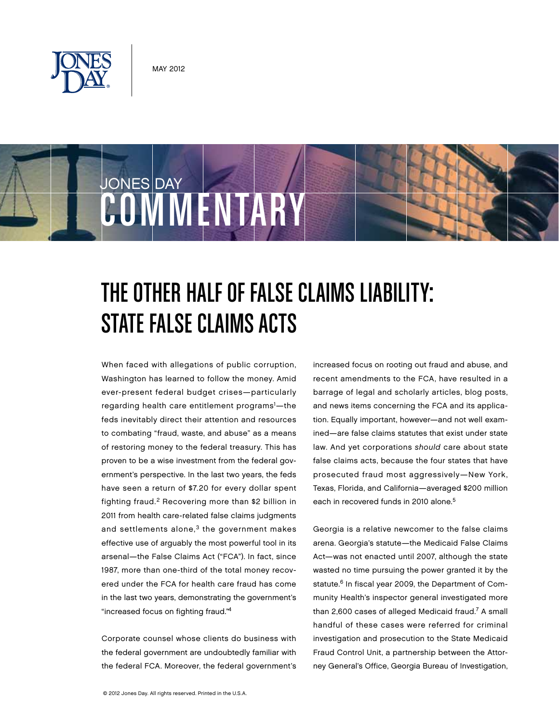

**COMMENTARY** 

State False Claims Acts

JONES DAY



When faced with allegations of public corruption, Washington has learned to follow the money. Amid ever-present federal budget crises—particularly regarding health care entitlement programs<sup>1</sup>—the feds inevitably direct their attention and resources to combating "fraud, waste, and abuse" as a means of restoring money to the federal treasury. This has proven to be a wise investment from the federal government's perspective. In the last two years, the feds have seen a return of \$7.20 for every dollar spent fighting fraud.2 Recovering more than \$2 billion in 2011 from health care-related false claims judgments and settlements alone, $3$  the government makes effective use of arguably the most powerful tool in its arsenal—the False Claims Act ("FCA"). In fact, since 1987, more than one-third of the total money recovered under the FCA for health care fraud has come in the last two years, demonstrating the government's "increased focus on fighting fraud."4

Corporate counsel whose clients do business with the federal government are undoubtedly familiar with the federal FCA. Moreover, the federal government's increased focus on rooting out fraud and abuse, and recent amendments to the FCA, have resulted in a barrage of legal and scholarly articles, blog posts, and news items concerning the FCA and its application. Equally important, however—and not well examined—are false claims statutes that exist under state law. And yet corporations should care about state false claims acts, because the four states that have prosecuted fraud most aggressively—New York, Texas, Florida, and California—averaged \$200 million each in recovered funds in 2010 alone.<sup>5</sup>

Georgia is a relative newcomer to the false claims arena. Georgia's statute—the Medicaid False Claims Act—was not enacted until 2007, although the state wasted no time pursuing the power granted it by the statute.<sup>6</sup> In fiscal year 2009, the Department of Community Health's inspector general investigated more than 2,600 cases of alleged Medicaid fraud.<sup>7</sup> A small handful of these cases were referred for criminal investigation and prosecution to the State Medicaid Fraud Control Unit, a partnership between the Attorney General's Office, Georgia Bureau of Investigation,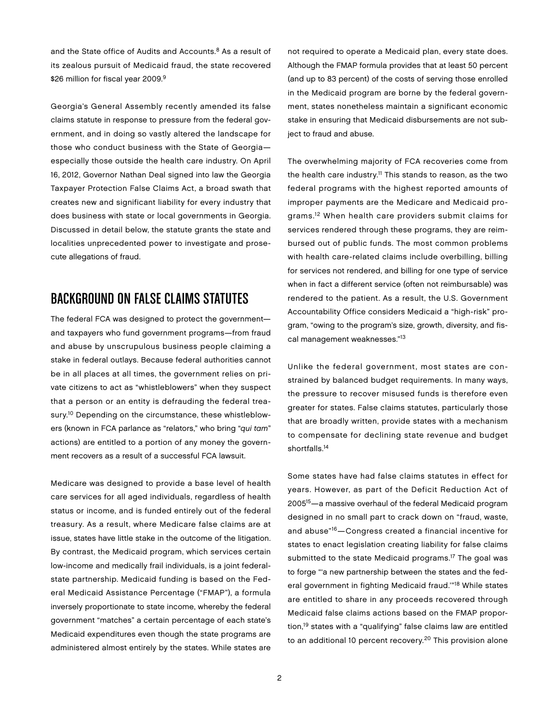and the State office of Audits and Accounts.<sup>8</sup> As a result of its zealous pursuit of Medicaid fraud, the state recovered \$26 million for fiscal year 2009.<sup>9</sup>

Georgia's General Assembly recently amended its false claims statute in response to pressure from the federal government, and in doing so vastly altered the landscape for those who conduct business with the State of Georgia especially those outside the health care industry. On April 16, 2012, Governor Nathan Deal signed into law the Georgia Taxpayer Protection False Claims Act, a broad swath that creates new and significant liability for every industry that does business with state or local governments in Georgia. Discussed in detail below, the statute grants the state and localities unprecedented power to investigate and prosecute allegations of fraud.

# Background on False Claims Statutes

The federal FCA was designed to protect the government and taxpayers who fund government programs—from fraud and abuse by unscrupulous business people claiming a stake in federal outlays. Because federal authorities cannot be in all places at all times, the government relies on private citizens to act as "whistleblowers" when they suspect that a person or an entity is defrauding the federal treasury.<sup>10</sup> Depending on the circumstance, these whistleblowers (known in FCA parlance as "relators," who bring "qui tam" actions) are entitled to a portion of any money the government recovers as a result of a successful FCA lawsuit.

Medicare was designed to provide a base level of health care services for all aged individuals, regardless of health status or income, and is funded entirely out of the federal treasury. As a result, where Medicare false claims are at issue, states have little stake in the outcome of the litigation. By contrast, the Medicaid program, which services certain low-income and medically frail individuals, is a joint federalstate partnership. Medicaid funding is based on the Federal Medicaid Assistance Percentage ("FMAP"), a formula inversely proportionate to state income, whereby the federal government "matches" a certain percentage of each state's Medicaid expenditures even though the state programs are administered almost entirely by the states. While states are

not required to operate a Medicaid plan, every state does. Although the FMAP formula provides that at least 50 percent (and up to 83 percent) of the costs of serving those enrolled in the Medicaid program are borne by the federal government, states nonetheless maintain a significant economic stake in ensuring that Medicaid disbursements are not subject to fraud and abuse.

The overwhelming majority of FCA recoveries come from the health care industry.<sup>11</sup> This stands to reason, as the two federal programs with the highest reported amounts of improper payments are the Medicare and Medicaid programs.12 When health care providers submit claims for services rendered through these programs, they are reimbursed out of public funds. The most common problems with health care-related claims include overbilling, billing for services not rendered, and billing for one type of service when in fact a different service (often not reimbursable) was rendered to the patient. As a result, the U.S. Government Accountability Office considers Medicaid a "high-risk" program, "owing to the program's size, growth, diversity, and fiscal management weaknesses."13

Unlike the federal government, most states are constrained by balanced budget requirements. In many ways, the pressure to recover misused funds is therefore even greater for states. False claims statutes, particularly those that are broadly written, provide states with a mechanism to compensate for declining state revenue and budget shortfalls.<sup>14</sup>

Some states have had false claims statutes in effect for years. However, as part of the Deficit Reduction Act of 200515—a massive overhaul of the federal Medicaid program designed in no small part to crack down on "fraud, waste, and abuse"16—Congress created a financial incentive for states to enact legislation creating liability for false claims submitted to the state Medicaid programs.<sup>17</sup> The goal was to forge "'a new partnership between the states and the federal government in fighting Medicaid fraud.'"18 While states are entitled to share in any proceeds recovered through Medicaid false claims actions based on the FMAP proportion,19 states with a "qualifying" false claims law are entitled to an additional 10 percent recovery.<sup>20</sup> This provision alone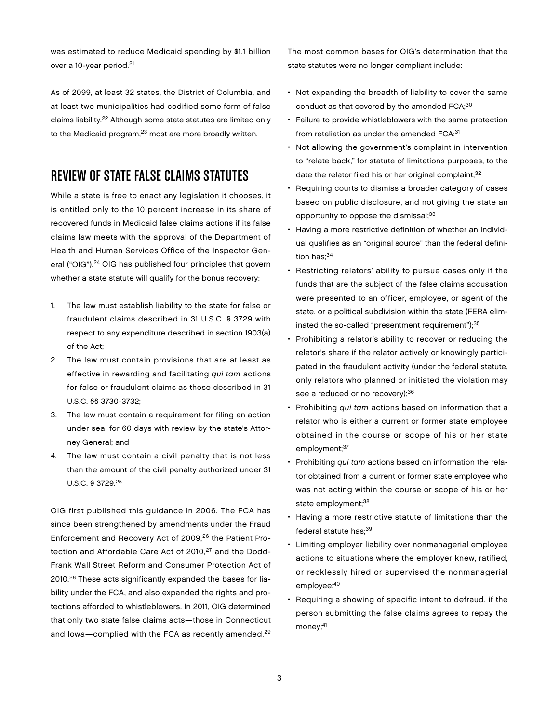3

was estimated to reduce Medicaid spending by \$1.1 billion over a 10-year period.<sup>21</sup>

As of 2099, at least 32 states, the District of Columbia, and at least two municipalities had codified some form of false claims liability.22 Although some state statutes are limited only to the Medicaid program, $23$  most are more broadly written.

## Review of State False Claims Statutes

While a state is free to enact any legislation it chooses, it is entitled only to the 10 percent increase in its share of recovered funds in Medicaid false claims actions if its false claims law meets with the approval of the Department of Health and Human Services Office of the Inspector General ("OIG").<sup>24</sup> OIG has published four principles that govern whether a state statute will qualify for the bonus recovery:

- 1. The law must establish liability to the state for false or fraudulent claims described in 31 U.S.C. § 3729 with respect to any expenditure described in section 1903(a) of the Act;
- 2. The law must contain provisions that are at least as effective in rewarding and facilitating qui tam actions for false or fraudulent claims as those described in 31 U.S.C. §§ 3730-3732;
- 3. The law must contain a requirement for filing an action under seal for 60 days with review by the state's Attorney General; and
- 4. The law must contain a civil penalty that is not less than the amount of the civil penalty authorized under 31 U.S.C. § 3729.25

OIG first published this guidance in 2006. The FCA has since been strengthened by amendments under the Fraud Enforcement and Recovery Act of 2009,26 the Patient Protection and Affordable Care Act of 2010.<sup>27</sup> and the Dodd-Frank Wall Street Reform and Consumer Protection Act of 2010.28 These acts significantly expanded the bases for liability under the FCA, and also expanded the rights and protections afforded to whistleblowers. In 2011, OIG determined that only two state false claims acts—those in Connecticut and Iowa—complied with the FCA as recently amended.29

The most common bases for OIG's determination that the state statutes were no longer compliant include:

- Not expanding the breadth of liability to cover the same conduct as that covered by the amended FCA;<sup>30</sup>
- Failure to provide whistleblowers with the same protection from retaliation as under the amended  $FCA$ <sup>31</sup>
- Not allowing the government's complaint in intervention to "relate back," for statute of limitations purposes, to the date the relator filed his or her original complaint;<sup>32</sup>
- Requiring courts to dismiss a broader category of cases based on public disclosure, and not giving the state an opportunity to oppose the dismissal;<sup>33</sup>
- Having a more restrictive definition of whether an individual qualifies as an "original source" than the federal definition has;<sup>34</sup>
- Restricting relators' ability to pursue cases only if the funds that are the subject of the false claims accusation were presented to an officer, employee, or agent of the state, or a political subdivision within the state (FERA eliminated the so-called "presentment requirement");<sup>35</sup>
- Prohibiting a relator's ability to recover or reducing the relator's share if the relator actively or knowingly participated in the fraudulent activity (under the federal statute, only relators who planned or initiated the violation may see a reduced or no recovery);<sup>36</sup>
- Prohibiting qui tam actions based on information that a relator who is either a current or former state employee obtained in the course or scope of his or her state employment;<sup>37</sup>
- Prohibiting qui tam actions based on information the relator obtained from a current or former state employee who was not acting within the course or scope of his or her state employment;<sup>38</sup>
- Having a more restrictive statute of limitations than the federal statute has;39
- Limiting employer liability over nonmanagerial employee actions to situations where the employer knew, ratified, or recklessly hired or supervised the nonmanagerial employee;<sup>40</sup>
- Requiring a showing of specific intent to defraud, if the person submitting the false claims agrees to repay the money;<sup>41</sup>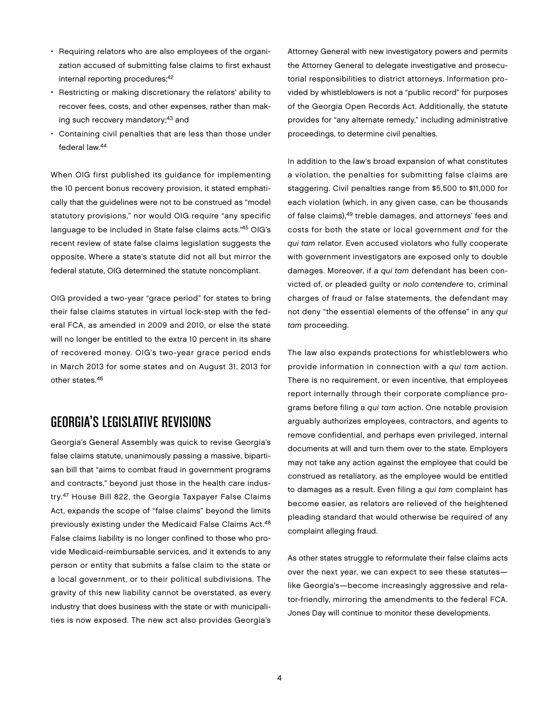- Requiring relators who are also employees of the organization accused of submitting false claims to first exhaust internal reporting procedures;<sup>42</sup>
- Restricting or making discretionary the relators' ability to recover fees, costs, and other expenses, rather than making such recovery mandatory;<sup>43</sup> and
- Containing civil penalties that are less than those under federal law.44

When OIG first published its guidance for implementing the 10 percent bonus recovery provision, it stated emphatically that the guidelines were not to be construed as "model statutory provisions," nor would OIG require "any specific language to be included in State false claims acts."45 OIG's recent review of state false claims legislation suggests the opposite. Where a state's statute did not all but mirror the federal statute, OIG determined the statute noncompliant.

OIG provided a two-year "grace period" for states to bring their false claims statutes in virtual lock-step with the federal FCA, as amended in 2009 and 2010, or else the state will no longer be entitled to the extra 10 percent in its share of recovered money. OIG's two-year grace period ends in March 2013 for some states and on August 31, 2013 for other states.46

## Georgia's Legislative Revisions

Georgia's General Assembly was quick to revise Georgia's false claims statute, unanimously passing a massive, bipartisan bill that "aims to combat fraud in government programs and contracts," beyond just those in the health care industry.47 House Bill 822, the Georgia Taxpayer False Claims Act, expands the scope of "false claims" beyond the limits previously existing under the Medicaid False Claims Act.48 False claims liability is no longer confined to those who provide Medicaid-reimbursable services, and it extends to any person or entity that submits a false claim to the state or a local government, or to their political subdivisions. The gravity of this new liability cannot be overstated, as every industry that does business with the state or with municipalities is now exposed. The new act also provides Georgia's

Attorney General with new investigatory powers and permits the Attorney General to delegate investigative and prosecutorial responsibilities to district attorneys. Information provided by whistleblowers is not a "public record" for purposes of the Georgia Open Records Act. Additionally, the statute provides for "any alternate remedy," including administrative proceedings, to determine civil penalties.

In addition to the law's broad expansion of what constitutes a violation, the penalties for submitting false claims are staggering. Civil penalties range from \$5,500 to \$11,000 for each violation (which, in any given case, can be thousands of false claims),49 treble damages, and attorneys' fees and costs for both the state or local government and for the qui tam relator. Even accused violators who fully cooperate with government investigators are exposed only to double damages. Moreover, if a qui tam defendant has been convicted of, or pleaded guilty or nolo contendere to, criminal charges of fraud or false statements, the defendant may not deny "the essential elements of the offense" in any qui tam proceeding.

The law also expands protections for whistleblowers who provide information in connection with a qui tam action. There is no requirement, or even incentive, that employees report internally through their corporate compliance programs before filing a qui tam action. One notable provision arguably authorizes employees, contractors, and agents to remove confidential, and perhaps even privileged, internal documents at will and turn them over to the state. Employers may not take any action against the employee that could be construed as retaliatory, as the employee would be entitled to damages as a result. Even filing a qui tam complaint has become easier, as relators are relieved of the heightened pleading standard that would otherwise be required of any complaint alleging fraud.

As other states struggle to reformulate their false claims acts over the next year, we can expect to see these statutes like Georgia's—become increasingly aggressive and relator-friendly, mirroring the amendments to the federal FCA. Jones Day will continue to monitor these developments.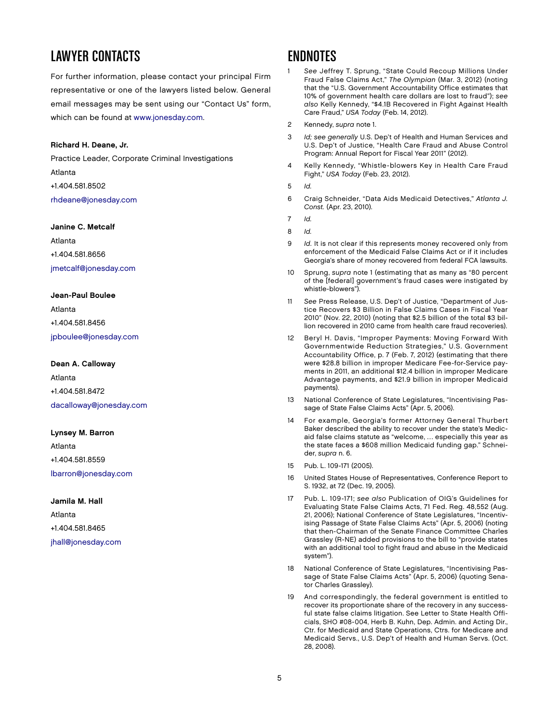# LAWYER CONTACTS

For further information, please contact your principal Firm representative or one of the lawyers listed below. General email messages may be sent using our "Contact Us" form, which can be found at [www.jonesday.com.](http://www.jonesday.com)

### Richard H. Deane, Jr.

Practice Leader, Corporate Criminal Investigations Atlanta +1.404.581.8502 [rhdeane@jonesday.com](mailto:rhdeane@jonesday.com)

#### Janine C. Metcalf

Atlanta +1.404.581.8656 [jmetcalf@jonesday.com](mailto:jmetcalf@jonesday.com)

### Jean-Paul Boulee

Atlanta +1.404.581.8456 [jpboulee@jonesday.com](mailto:jpboulee@jonesday.com)

#### Dean A. Calloway

Atlanta +1.404.581.8472 [dacalloway@jonesday.com](mailto:dacalloway@jonesday.com)

### Lynsey M. Barron

Atlanta +1.404.581.8559 [lbarron@jonesday.com](mailto:lbarron@jonesday.com)

Jamila M. Hall Atlanta +1.404.581.8465 [jhall@jonesday.com](mailto:jhall@jonesday.com)

## Endnotes

- See Jeffrey T. Sprung, "State Could Recoup Millions Under Fraud False Claims Act," The Olympian (Mar. 3, 2012) (noting that the "U.S. Government Accountability Office estimates that 10% of government health care dollars are lost to fraud"); see also Kelly Kennedy, "\$4.1B Recovered in Fight Against Health Care Fraud," USA Today (Feb. 14, 2012).
- 2 Kennedy, supra note 1.
- 3 Id; see generally U.S. Dep't of Health and Human Services and U.S. Dep't of Justice, "Health Care Fraud and Abuse Control Program: Annual Report for Fiscal Year 2011" (2012).
- 4 Kelly Kennedy, "Whistle-blowers Key in Health Care Fraud Fight," USA Today (Feb. 23, 2012).
- 5 Id.
- 6 Craig Schneider, "Data Aids Medicaid Detectives," Atlanta J. Const. (Apr. 23, 2010).
- 7 Id.
- 8 Id.
- 9 *Id.* It is not clear if this represents money recovered only from enforcement of the Medicaid False Claims Act or if it includes Georgia's share of money recovered from federal FCA lawsuits.
- 10 Sprung, supra note 1 (estimating that as many as "80 percent of the [federal] government's fraud cases were instigated by whistle-blowers").
- 11 See Press Release, U.S. Dep't of Justice, "Department of Justice Recovers \$3 Billion in False Claims Cases in Fiscal Year 2010" (Nov. 22, 2010) (noting that \$2.5 billion of the total \$3 billion recovered in 2010 came from health care fraud recoveries).
- 12 Beryl H. Davis, "Improper Payments: Moving Forward With Governmentwide Reduction Strategies," U.S. Government Accountability Office, p. 7 (Feb. 7, 2012) (estimating that there were \$28.8 billion in improper Medicare Fee-for-Service payments in 2011, an additional \$12.4 billion in improper Medicare Advantage payments, and \$21.9 billion in improper Medicaid payments).
- 13 National Conference of State Legislatures, "Incentivising Passage of State False Claims Acts" (Apr. 5, 2006).
- 14 For example, Georgia's former Attorney General Thurbert Baker described the ability to recover under the state's Medicaid false claims statute as "welcome, … especially this year as the state faces a \$608 million Medicaid funding gap." Schneider, supra n. 6.
- 15 Pub. L. 109-171 (2005).
- 16 United States House of Representatives, Conference Report to S. 1932, at 72 (Dec. 19, 2005).
- 17 Pub. L. 109-171; see also Publication of OIG's Guidelines for Evaluating State False Claims Acts, 71 Fed. Reg. 48,552 (Aug. 21, 2006); National Conference of State Legislatures, "Incentivising Passage of State False Claims Acts" (Apr. 5, 2006) (noting that then-Chairman of the Senate Finance Committee Charles Grassley (R-NE) added provisions to the bill to "provide states with an additional tool to fight fraud and abuse in the Medicaid system").
- 18 National Conference of State Legislatures, "Incentivising Passage of State False Claims Acts" (Apr. 5, 2006) (quoting Senator Charles Grassley).
- 19 And correspondingly, the federal government is entitled to recover its proportionate share of the recovery in any successful state false claims litigation. See Letter to State Health Officials, SHO #08-004, Herb B. Kuhn, Dep. Admin. and Acting Dir., Ctr. for Medicaid and State Operations, Ctrs. for Medicare and Medicaid Servs., U.S. Dep't of Health and Human Servs. (Oct. 28, 2008).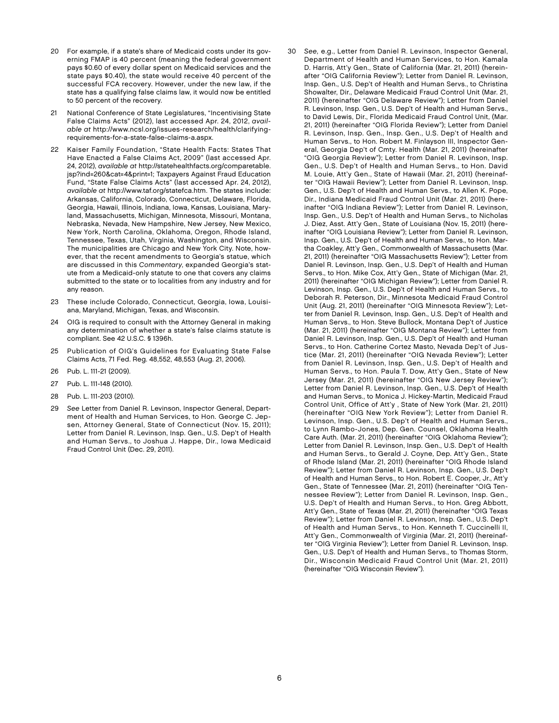- 20 For example, if a state's share of Medicaid costs under its governing FMAP is 40 percent (meaning the federal government pays \$0.60 of every dollar spent on Medicaid services and the state pays \$0.40), the state would receive 40 percent of the successful FCA recovery. However, under the new law, if the state has a qualifying false claims law, it would now be entitled to 50 percent of the recovery.
- 21 National Conference of State Legislatures, "Incentivising State False Claims Acts" (2012), last accessed Apr. 24, 2012, available at http://www.ncsl.org/issues-research/health/clarifyingrequirements-for-a-state-false-claims-a.aspx.
- Kaiser Family Foundation, "State Health Facts: States That Have Enacted a False Claims Act, 2009" (last accessed Apr. 24, 2012), available at http://statehealthfacts.org/comparetable. jsp?ind=260&cat=4&print=1; Taxpayers Against Fraud Education Fund, "State False Claims Acts" (last accessed Apr. 24, 2012), available at http://www.taf.org/statefca.htm. The states include: Arkansas, California, Colorado, Connecticut, Delaware, Florida, Georgia, Hawaii, Illinois, Indiana, Iowa, Kansas, Louisiana, Maryland, Massachusetts, Michigan, Minnesota, Missouri, Montana, Nebraska, Nevada, New Hampshire, New Jersey, New Mexico, New York, North Carolina, Oklahoma, Oregon, Rhode Island, Tennessee, Texas, Utah, Virginia, Washington, and Wisconsin. The municipalities are Chicago and New York City. Note, however, that the recent amendments to Georgia's statue, which are discussed in this Commentary, expanded Georgia's statute from a Medicaid-only statute to one that covers any claims submitted to the state or to localities from any industry and for any reason.
- 23 These include Colorado, Connecticut, Georgia, Iowa, Louisiana, Maryland, Michigan, Texas, and Wisconsin.
- 24 OIG is required to consult with the Attorney General in making any determination of whether a state's false claims statute is compliant. See 42 U.S.C. § 1396h.
- 25 Publication of OIG's Guidelines for Evaluating State False Claims Acts, 71 Fed. Reg. 48,552, 48,553 (Aug. 21, 2006).
- 26 Pub. L. 111-21 (2009).
- 27 Pub. L. 111-148 (2010).
- 28 Pub. L. 111-203 (2010).
- 29 See Letter from Daniel R. Levinson, Inspector General, Department of Health and Human Services, to Hon. George C. Jepsen, Attorney General, State of Connecticut (Nov. 15, 2011); Letter from Daniel R. Levinson, Insp. Gen., U.S. Dep't of Health and Human Servs., to Joshua J. Happe, Dir., Iowa Medicaid Fraud Control Unit (Dec. 29, 2011).
- Department of Health and Human Services, to Hon. Kamala D. Harris, Att'y Gen., State of California (Mar. 21, 2011) (hereinafter "OIG California Review"); Letter from Daniel R. Levinson, Insp. Gen., U.S. Dep't of Health and Human Servs., to Christina Showalter, Dir., Delaware Medicaid Fraud Control Unit (Mar. 21, 2011) (hereinafter "OIG Delaware Review"); Letter from Daniel R. Levinson, Insp. Gen., U.S. Dep't of Health and Human Servs., to David Lewis, Dir., Florida Medicaid Fraud Control Unit, (Mar. 21, 2011) (hereinafter "OIG Florida Review"); Letter from Daniel R. Levinson, Insp. Gen., Insp. Gen., U.S. Dep't of Health and Human Servs., to Hon. Robert M. Finlayson III, Inspector General, Georgia Dep't of Cmty. Health (Mar. 21, 2011) (hereinafter "OIG Georgia Review"); Letter from Daniel R. Levinson, Insp. Gen., U.S. Dep't of Health and Human Servs., to Hon. David M. Louie, Att'y Gen., State of Hawaii (Mar. 21, 2011) (hereinafter "OIG Hawaii Review"); Letter from Daniel R. Levinson, Insp. Gen., U.S. Dep't of Health and Human Servs., to Allen K. Pope, Dir., Indiana Medicaid Fraud Control Unit (Mar. 21, 2011) (hereinafter "OIG Indiana Review"); Letter from Daniel R. Levinson, Insp. Gen., U.S. Dep't of Health and Human Servs., to Nicholas J. Diez, Asst. Att'y Gen., State of Louisiana (Nov. 15, 2011) (hereinafter "OIG Louisiana Review"); Letter from Daniel R. Levinson, Insp. Gen., U.S. Dep't of Health and Human Servs., to Hon. Martha Coakley, Att'y Gen., Commonwealth of Massachusetts (Mar. 21, 2011) (hereinafter "OIG Massachusetts Review"); Letter from Daniel R. Levinson, Insp. Gen., U.S. Dep't of Health and Human Servs., to Hon. Mike Cox, Att'y Gen., State of Michigan (Mar. 21, 2011) (hereinafter "OIG Michigan Review"); Letter from Daniel R. Levinson, Insp. Gen., U.S. Dep't of Health and Human Servs., to Deborah R. Peterson, Dir., Minnesota Medicaid Fraud Control Unit (Aug. 21, 2011) (hereinafter "OIG Minnesota Review"); Letter from Daniel R. Levinson, Insp. Gen., U.S. Dep't of Health and Human Servs., to Hon. Steve Bullock, Montana Dep't of Justice (Mar. 21, 2011) (hereinafter "OIG Montana Review"); Letter from Daniel R. Levinson, Insp. Gen., U.S. Dep't of Health and Human Servs., to Hon. Catherine Cortez Masto, Nevada Dep't of Justice (Mar. 21, 2011) (hereinafter "OIG Nevada Review"); Letter from Daniel R. Levinson, Insp. Gen., U.S. Dep't of Health and Human Servs., to Hon. Paula T. Dow, Att'y Gen., State of New Jersey (Mar. 21, 2011) (hereinafter "OIG New Jersey Review"); Letter from Daniel R. Levinson, Insp. Gen., U.S. Dep't of Health and Human Servs., to Monica J. Hickey-Martin, Medicaid Fraud Control Unit, Office of Att'y , State of New York (Mar. 21, 2011) (hereinafter "OIG New York Review"); Letter from Daniel R. Levinson, Insp. Gen., U.S. Dep't of Health and Human Servs., to Lynn Rambo-Jones, Dep. Gen. Counsel, Oklahoma Health Care Auth. (Mar. 21, 2011) (hereinafter "OIG Oklahoma Review"); Letter from Daniel R. Levinson, Insp. Gen., U.S. Dep't of Health and Human Servs., to Gerald J. Coyne, Dep. Att'y Gen., State of Rhode Island (Mar. 21, 2011) (hereinafter "OIG Rhode Island Review"); Letter from Daniel R. Levinson, Insp. Gen., U.S. Dep't of Health and Human Servs., to Hon. Robert E. Cooper, Jr., Att'y Gen., State of Tennessee (Mar. 21, 2011) (hereinafter "OIG Tennessee Review"); Letter from Daniel R. Levinson, Insp. Gen., U.S. Dep't of Health and Human Servs., to Hon. Greg Abbott, Att'y Gen., State of Texas (Mar. 21, 2011) (hereinafter "OIG Texas Review"); Letter from Daniel R. Levinson, Insp. Gen., U.S. Dep't of Health and Human Servs., to Hon. Kenneth T. Cuccinelli II, Att'y Gen., Commonwealth of Virginia (Mar. 21, 2011) (hereinafter "OIG Virginia Review"); Letter from Daniel R. Levinson, Insp. Gen., U.S. Dep't of Health and Human Servs., to Thomas Storm, Dir., Wisconsin Medicaid Fraud Control Unit (Mar. 21, 2011) (hereinafter "OIG Wisconsin Review").

30 See, e.g., Letter from Daniel R. Levinson, Inspector General,